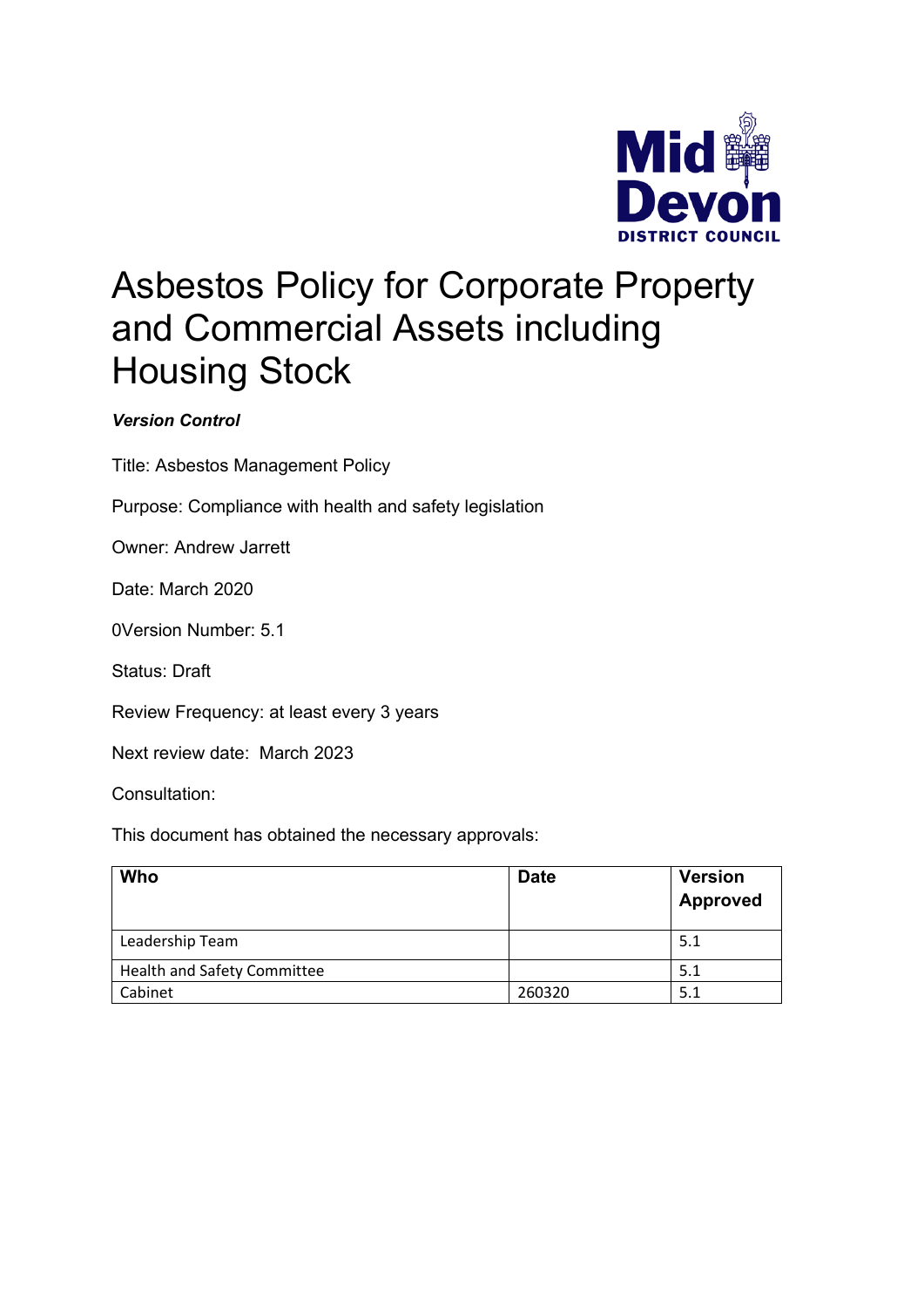

# Asbestos Policy for Corporate Property and Commercial Assets including Housing Stock

# *Version Control*

Title: Asbestos Management Policy

Purpose: Compliance with health and safety legislation

Owner: Andrew Jarrett

Date: March 2020

0Version Number: 5.1

Status: Draft

Review Frequency: at least every 3 years

Next review date: March 2023

Consultation:

This document has obtained the necessary approvals:

| Who                                | <b>Date</b> | <b>Version</b><br><b>Approved</b> |
|------------------------------------|-------------|-----------------------------------|
| Leadership Team                    |             | 5.1                               |
| <b>Health and Safety Committee</b> |             | 5.1                               |
| Cabinet                            | 260320      | 5.1                               |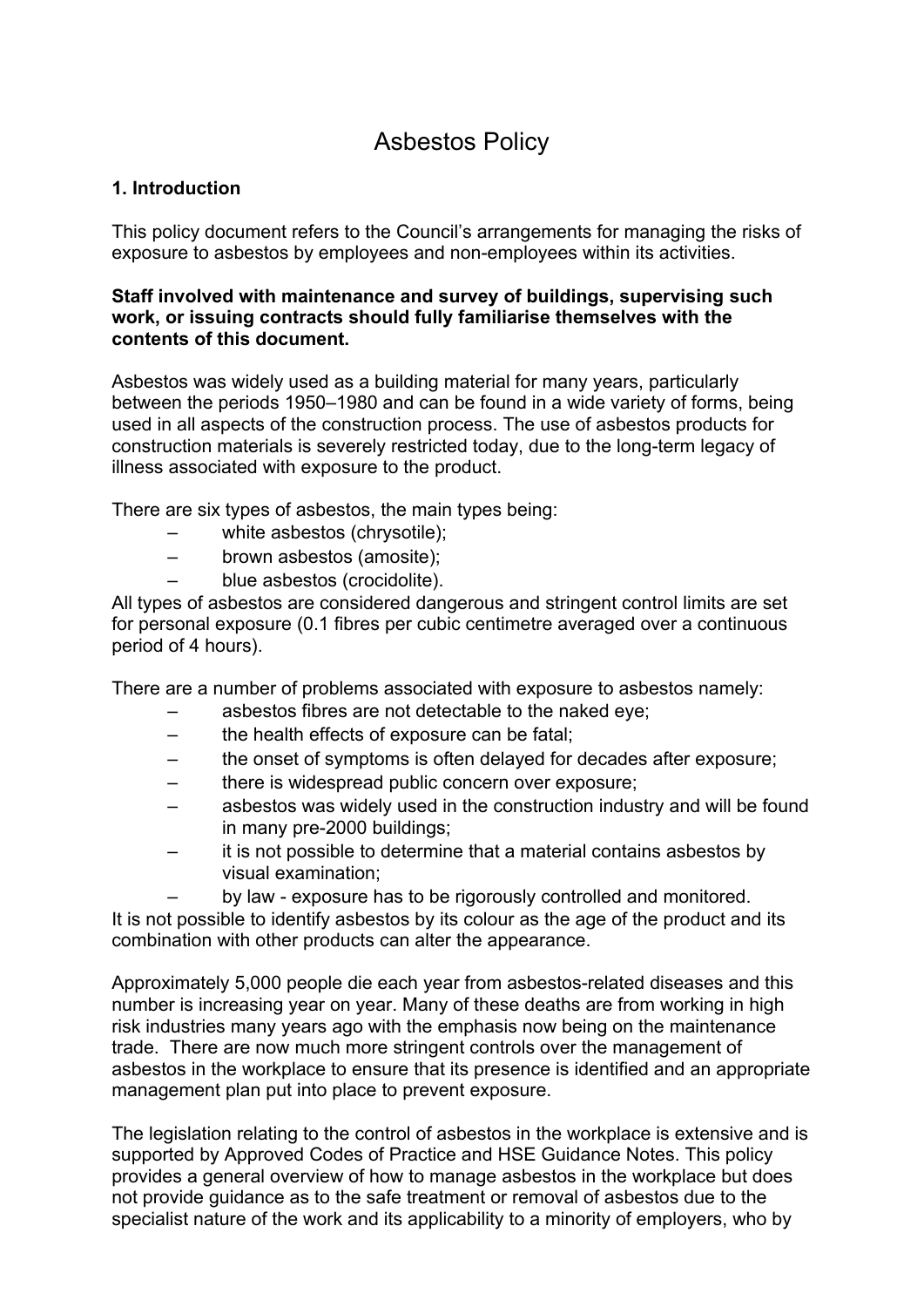# Asbestos Policy

# **1. Introduction**

This policy document refers to the Council's arrangements for managing the risks of exposure to asbestos by employees and non-employees within its activities.

#### **Staff involved with maintenance and survey of buildings, supervising such work, or issuing contracts should fully familiarise themselves with the contents of this document.**

Asbestos was widely used as a building material for many years, particularly between the periods 1950–1980 and can be found in a wide variety of forms, being used in all aspects of the construction process. The use of asbestos products for construction materials is severely restricted today, due to the long-term legacy of illness associated with exposure to the product.

There are six types of asbestos, the main types being:

- white asbestos (chrysotile);
- brown asbestos (amosite);
- blue asbestos (crocidolite).

All types of asbestos are considered dangerous and stringent control limits are set for personal exposure (0.1 fibres per cubic centimetre averaged over a continuous period of 4 hours).

There are a number of problems associated with exposure to asbestos namely:

- asbestos fibres are not detectable to the naked eye;
- the health effects of exposure can be fatal;
- the onset of symptoms is often delayed for decades after exposure;
- there is widespread public concern over exposure;
- asbestos was widely used in the construction industry and will be found in many pre-2000 buildings;
- it is not possible to determine that a material contains asbestos by visual examination;

– by law - exposure has to be rigorously controlled and monitored. It is not possible to identify asbestos by its colour as the age of the product and its combination with other products can alter the appearance.

Approximately 5,000 people die each year from asbestos-related diseases and this number is increasing year on year. Many of these deaths are from working in high risk industries many years ago with the emphasis now being on the maintenance trade. There are now much more stringent controls over the management of asbestos in the workplace to ensure that its presence is identified and an appropriate management plan put into place to prevent exposure.

The legislation relating to the control of asbestos in the workplace is extensive and is supported by Approved Codes of Practice and HSE Guidance Notes. This policy provides a general overview of how to manage asbestos in the workplace but does not provide guidance as to the safe treatment or removal of asbestos due to the specialist nature of the work and its applicability to a minority of employers, who by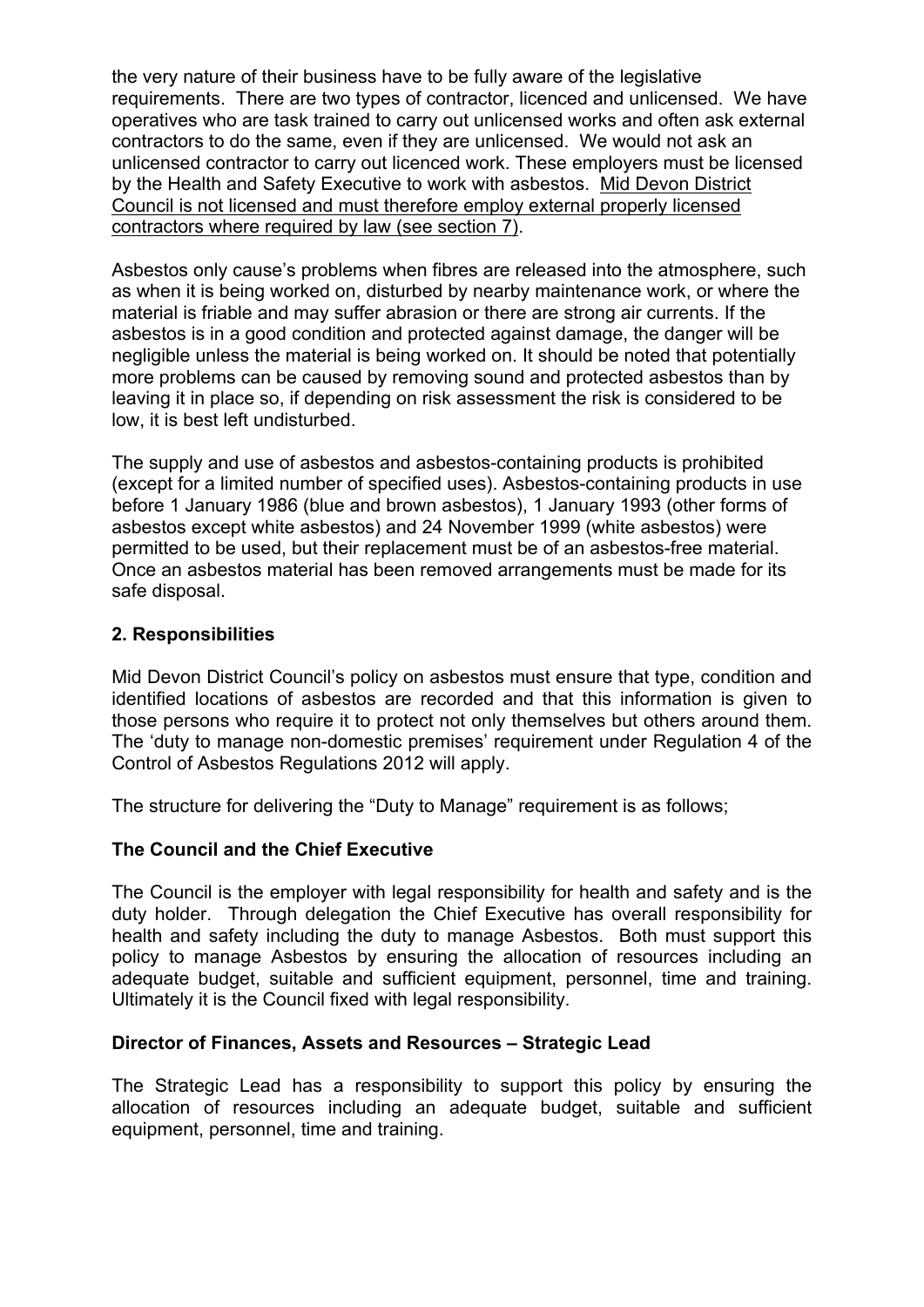the very nature of their business have to be fully aware of the legislative requirements. There are two types of contractor, licenced and unlicensed. We have operatives who are task trained to carry out unlicensed works and often ask external contractors to do the same, even if they are unlicensed. We would not ask an unlicensed contractor to carry out licenced work. These employers must be licensed by the Health and Safety Executive to work with asbestos. Mid Devon District Council is not licensed and must therefore employ external properly licensed contractors where required by law (see section 7).

Asbestos only cause's problems when fibres are released into the atmosphere, such as when it is being worked on, disturbed by nearby maintenance work, or where the material is friable and may suffer abrasion or there are strong air currents. If the asbestos is in a good condition and protected against damage, the danger will be negligible unless the material is being worked on. It should be noted that potentially more problems can be caused by removing sound and protected asbestos than by leaving it in place so, if depending on risk assessment the risk is considered to be low, it is best left undisturbed.

The supply and use of asbestos and asbestos-containing products is prohibited (except for a limited number of specified uses). Asbestos-containing products in use before 1 January 1986 (blue and brown asbestos), 1 January 1993 (other forms of asbestos except white asbestos) and 24 November 1999 (white asbestos) were permitted to be used, but their replacement must be of an asbestos-free material. Once an asbestos material has been removed arrangements must be made for its safe disposal.

# **2. Responsibilities**

Mid Devon District Council's policy on asbestos must ensure that type, condition and identified locations of asbestos are recorded and that this information is given to those persons who require it to protect not only themselves but others around them. The 'duty to manage non-domestic premises' requirement under Regulation 4 of the Control of Asbestos Regulations 2012 will apply.

The structure for delivering the "Duty to Manage" requirement is as follows;

# **The Council and the Chief Executive**

The Council is the employer with legal responsibility for health and safety and is the duty holder. Through delegation the Chief Executive has overall responsibility for health and safety including the duty to manage Asbestos. Both must support this policy to manage Asbestos by ensuring the allocation of resources including an adequate budget, suitable and sufficient equipment, personnel, time and training. Ultimately it is the Council fixed with legal responsibility.

# **Director of Finances, Assets and Resources – Strategic Lead**

The Strategic Lead has a responsibility to support this policy by ensuring the allocation of resources including an adequate budget, suitable and sufficient equipment, personnel, time and training.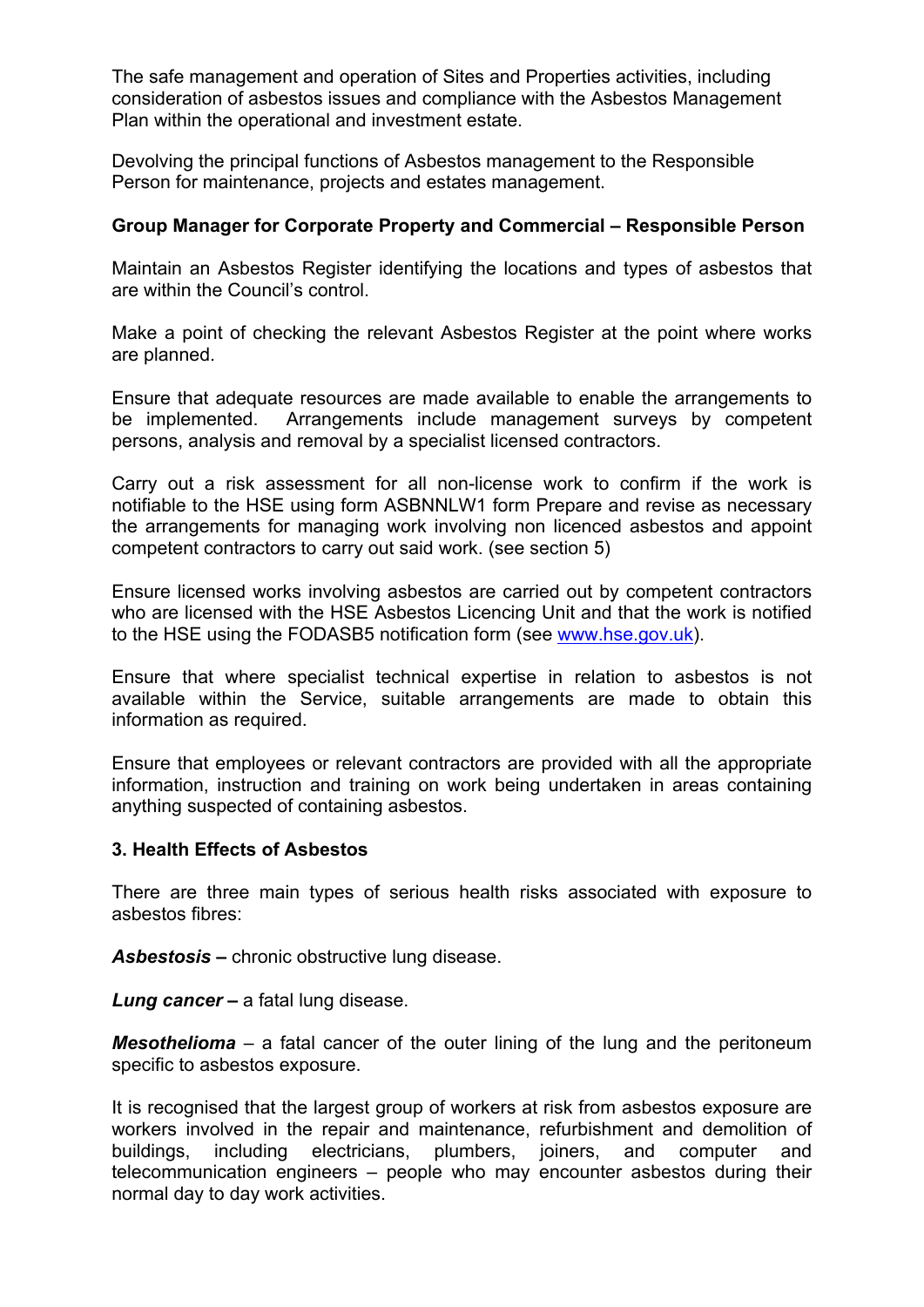The safe management and operation of Sites and Properties activities, including consideration of asbestos issues and compliance with the Asbestos Management Plan within the operational and investment estate.

Devolving the principal functions of Asbestos management to the Responsible Person for maintenance, projects and estates management.

# **Group Manager for Corporate Property and Commercial – Responsible Person**

Maintain an Asbestos Register identifying the locations and types of asbestos that are within the Council's control.

Make a point of checking the relevant Asbestos Register at the point where works are planned.

Ensure that adequate resources are made available to enable the arrangements to be implemented. Arrangements include management surveys by competent persons, analysis and removal by a specialist licensed contractors.

Carry out a risk assessment for all non-license work to confirm if the work is notifiable to the HSE using form ASBNNLW1 form Prepare and revise as necessary the arrangements for managing work involving non licenced asbestos and appoint competent contractors to carry out said work. (see section 5)

Ensure licensed works involving asbestos are carried out by competent contractors who are licensed with the HSE Asbestos Licencing Unit and that the work is notified to the HSE using the FODASB5 notification form (see [www.hse.gov.uk\)](http://www.hse.gov.uk/).

Ensure that where specialist technical expertise in relation to asbestos is not available within the Service, suitable arrangements are made to obtain this information as required.

Ensure that employees or relevant contractors are provided with all the appropriate information, instruction and training on work being undertaken in areas containing anything suspected of containing asbestos.

#### **3. Health Effects of Asbestos**

There are three main types of serious health risks associated with exposure to asbestos fibres:

*Asbestosis* **–** chronic obstructive lung disease.

*Lung cancer* **–** a fatal lung disease.

*Mesothelioma* – a fatal cancer of the outer lining of the lung and the peritoneum specific to asbestos exposure.

It is recognised that the largest group of workers at risk from asbestos exposure are workers involved in the repair and maintenance, refurbishment and demolition of buildings, including electricians, plumbers, joiners, and computer and telecommunication engineers – people who may encounter asbestos during their normal day to day work activities.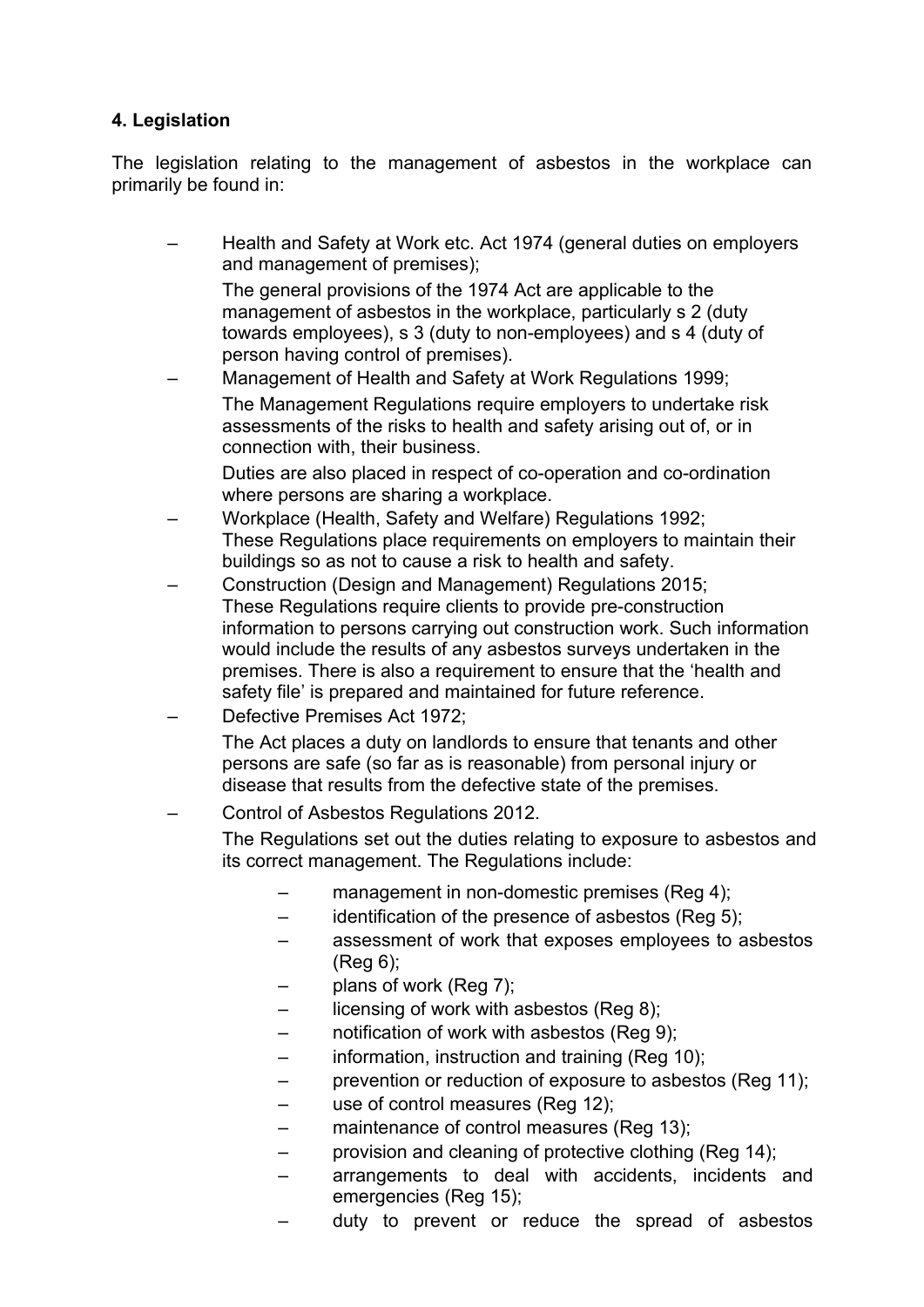# **4. Legislation**

The legislation relating to the management of asbestos in the workplace can primarily be found in:

– Health and Safety at Work etc. Act 1974 (general duties on employers and management of premises);

The general provisions of the 1974 Act are applicable to the management of asbestos in the workplace, particularly s 2 (duty towards employees), s 3 (duty to non-employees) and s 4 (duty of person having control of premises).

– Management of Health and Safety at Work Regulations 1999; The Management Regulations require employers to undertake risk assessments of the risks to health and safety arising out of, or in connection with, their business.

Duties are also placed in respect of co-operation and co-ordination where persons are sharing a workplace.

- Workplace (Health, Safety and Welfare) Regulations 1992; These Regulations place requirements on employers to maintain their buildings so as not to cause a risk to health and safety.
- Construction (Design and Management) Regulations 2015; These Regulations require clients to provide pre-construction information to persons carrying out construction work. Such information would include the results of any asbestos surveys undertaken in the premises. There is also a requirement to ensure that the 'health and safety file' is prepared and maintained for future reference.
- Defective Premises Act 1972;

The Act places a duty on landlords to ensure that tenants and other persons are safe (so far as is reasonable) from personal injury or disease that results from the defective state of the premises.

– Control of Asbestos Regulations 2012.

The Regulations set out the duties relating to exposure to asbestos and its correct management. The Regulations include:

- management in non-domestic premises (Reg 4);
- identification of the presence of asbestos (Reg 5);
- assessment of work that exposes employees to asbestos (Reg 6);
- plans of work (Reg 7);
- licensing of work with asbestos (Reg 8);
- notification of work with asbestos (Reg 9);
- information, instruction and training (Reg 10);
- prevention or reduction of exposure to asbestos (Reg 11);
- use of control measures (Reg 12);
- maintenance of control measures (Reg 13);
- provision and cleaning of protective clothing (Reg 14);
- arrangements to deal with accidents, incidents and emergencies (Reg 15);
- duty to prevent or reduce the spread of asbestos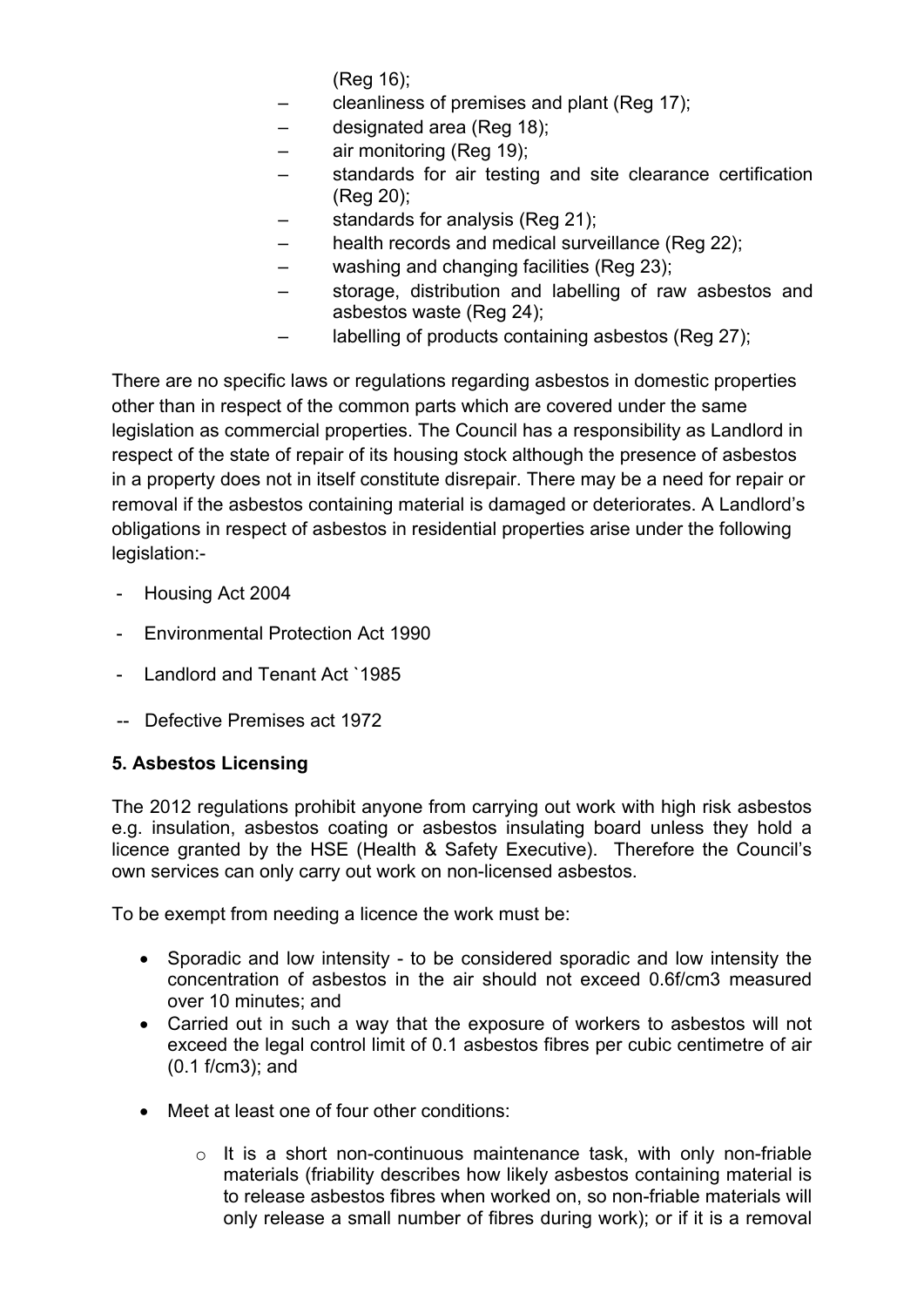(Reg 16);

- cleanliness of premises and plant (Reg 17);
- designated area (Reg 18);
- air monitoring (Reg 19);
- standards for air testing and site clearance certification (Reg 20);
- standards for analysis (Reg 21);
- health records and medical surveillance (Reg 22);
- washing and changing facilities (Reg 23);
- storage, distribution and labelling of raw asbestos and asbestos waste (Reg 24);
- labelling of products containing asbestos (Reg 27);

There are no specific laws or regulations regarding asbestos in domestic properties other than in respect of the common parts which are covered under the same legislation as commercial properties. The Council has a responsibility as Landlord in respect of the state of repair of its housing stock although the presence of asbestos in a property does not in itself constitute disrepair. There may be a need for repair or removal if the asbestos containing material is damaged or deteriorates. A Landlord's obligations in respect of asbestos in residential properties arise under the following legislation:-

- Housing Act 2004
- Environmental Protection Act 1990
- Landlord and Tenant Act `1985
- -- Defective Premises act 1972

# **5. Asbestos Licensing**

The 2012 regulations prohibit anyone from carrying out work with high risk asbestos e.g. insulation, asbestos coating or asbestos insulating board unless they hold a licence granted by the HSE (Health & Safety Executive). Therefore the Council's own services can only carry out work on non-licensed asbestos.

To be exempt from needing a licence the work must be:

- Sporadic and low intensity to be considered sporadic and low intensity the concentration of asbestos in the air should not exceed 0.6f/cm3 measured over 10 minutes; and
- Carried out in such a way that the exposure of workers to asbestos will not exceed the legal control limit of 0.1 asbestos fibres per cubic centimetre of air (0.1 f/cm3); and
- Meet at least one of four other conditions:
	- $\circ$  It is a short non-continuous maintenance task, with only non-friable materials (friability describes how likely asbestos containing material is to release asbestos fibres when worked on, so non-friable materials will only release a small number of fibres during work); or if it is a removal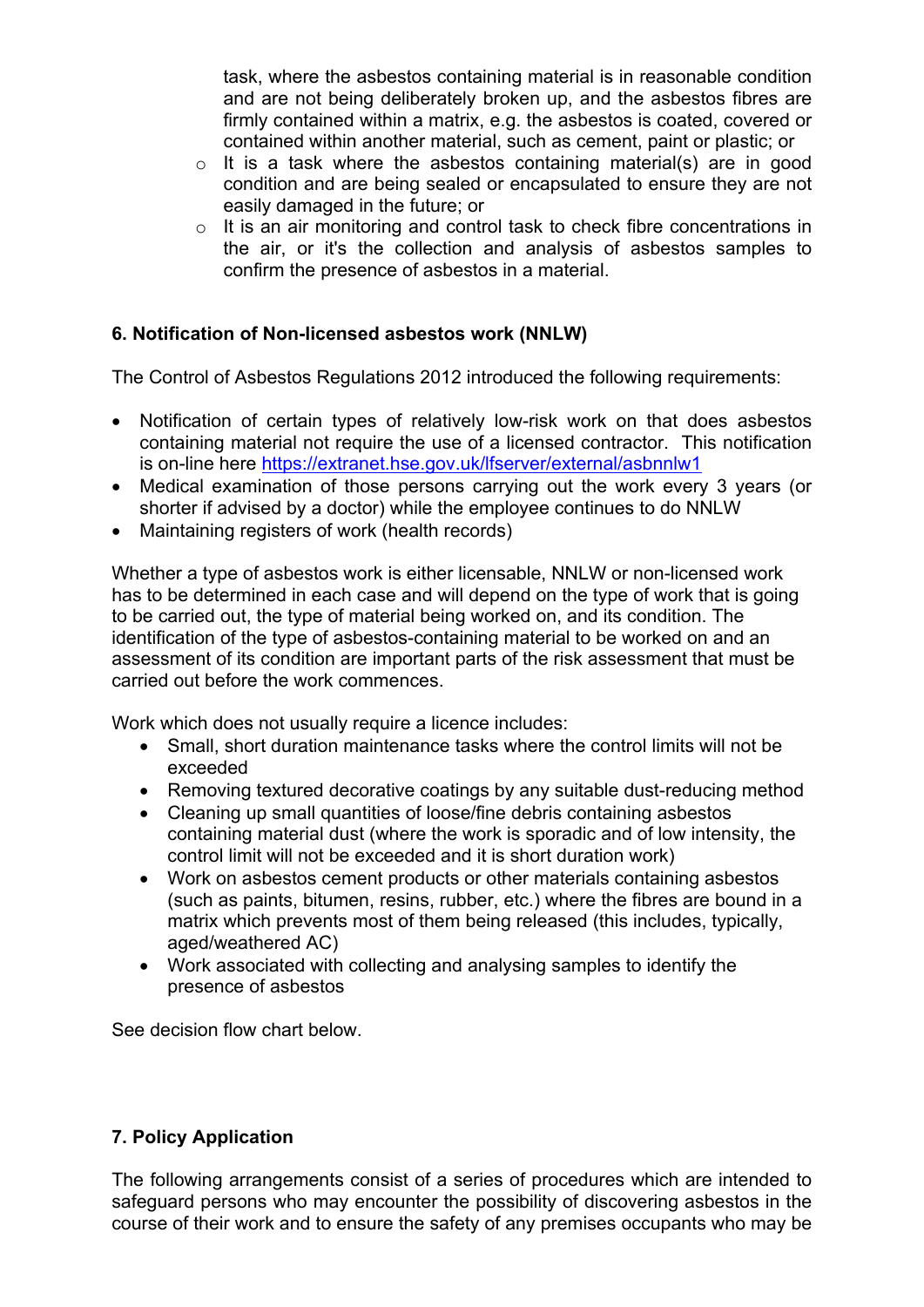task, where the asbestos containing material is in reasonable condition and are not being deliberately broken up, and the asbestos fibres are firmly contained within a matrix, e.g. the asbestos is coated, covered or contained within another material, such as cement, paint or plastic; or

- o It is a task where the asbestos containing material(s) are in good condition and are being sealed or encapsulated to ensure they are not easily damaged in the future; or
- o It is an air monitoring and control task to check fibre concentrations in the air, or it's the collection and analysis of asbestos samples to confirm the presence of asbestos in a material.

# **6. Notification of Non-licensed asbestos work (NNLW)**

The Control of Asbestos Regulations 2012 introduced the following requirements:

- Notification of certain types of relatively low-risk work on that does asbestos containing material not require the use of a licensed contractor. This notification is on-line here <https://extranet.hse.gov.uk/lfserver/external/asbnnlw1>
- Medical examination of those persons carrying out the work every 3 years (or shorter if advised by a doctor) while the employee continues to do NNLW
- Maintaining registers of work (health records)

Whether a type of asbestos work is either licensable, NNLW or non-licensed work has to be determined in each case and will depend on the type of work that is going to be carried out, the type of material being worked on, and its condition. The identification of the type of asbestos-containing material to be worked on and an assessment of its condition are important parts of the risk assessment that must be carried out before the work commences.

Work which does not usually require a licence includes:

- Small, short duration maintenance tasks where the control limits will not be exceeded
- Removing textured decorative coatings by any suitable dust-reducing method
- Cleaning up small quantities of loose/fine debris containing asbestos containing material dust (where the work is sporadic and of low intensity, the control limit will not be exceeded and it is short duration work)
- Work on asbestos cement products or other materials containing asbestos (such as paints, bitumen, resins, rubber, etc.) where the fibres are bound in a matrix which prevents most of them being released (this includes, typically, aged/weathered AC)
- Work associated with collecting and analysing samples to identify the presence of asbestos

See decision flow chart below.

# **7. Policy Application**

The following arrangements consist of a series of procedures which are intended to safeguard persons who may encounter the possibility of discovering asbestos in the course of their work and to ensure the safety of any premises occupants who may be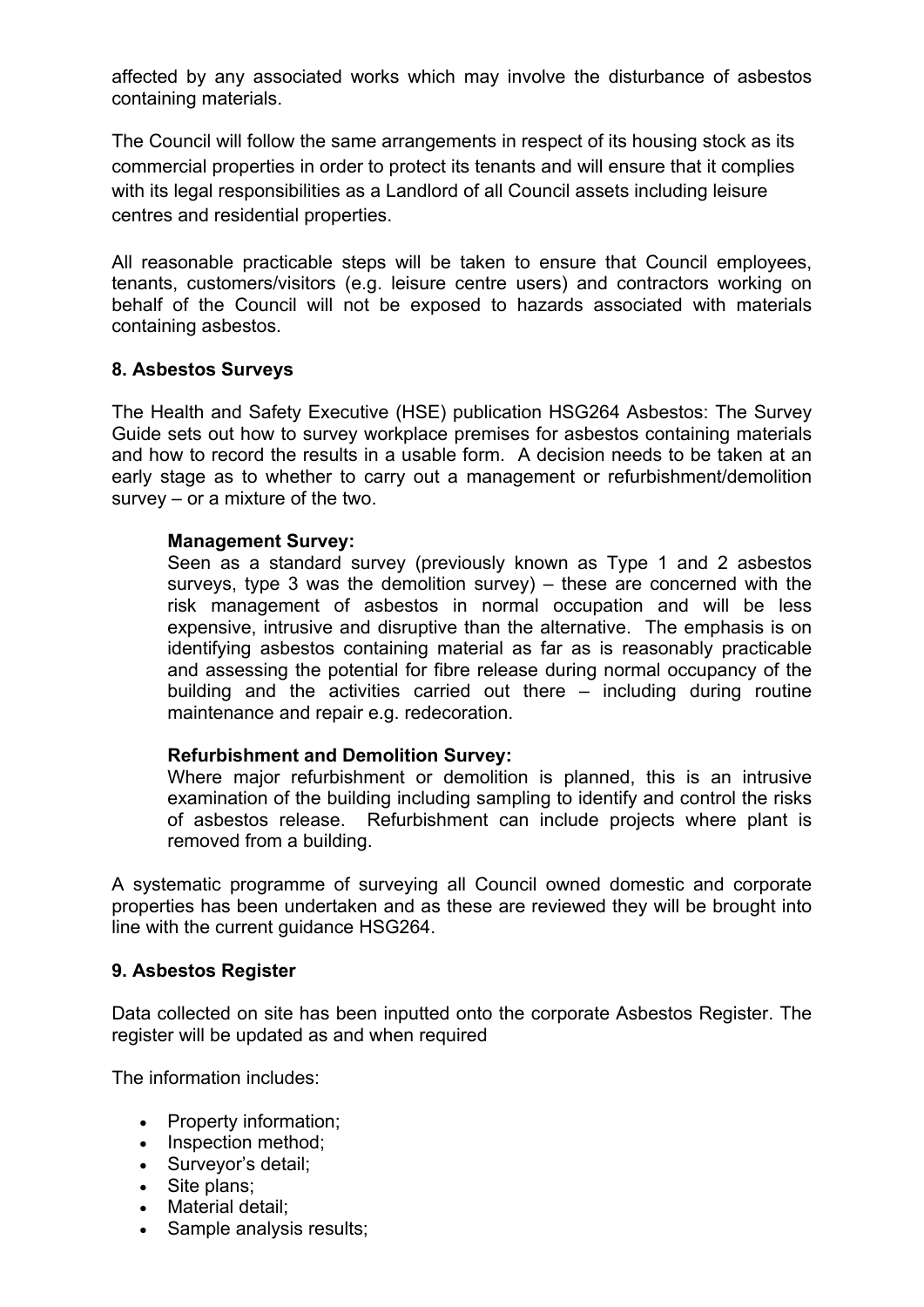affected by any associated works which may involve the disturbance of asbestos containing materials.

The Council will follow the same arrangements in respect of its housing stock as its commercial properties in order to protect its tenants and will ensure that it complies with its legal responsibilities as a Landlord of all Council assets including leisure centres and residential properties.

All reasonable practicable steps will be taken to ensure that Council employees, tenants, customers/visitors (e.g. leisure centre users) and contractors working on behalf of the Council will not be exposed to hazards associated with materials containing asbestos.

# **8. Asbestos Surveys**

The Health and Safety Executive (HSE) publication HSG264 Asbestos: The Survey Guide sets out how to survey workplace premises for asbestos containing materials and how to record the results in a usable form. A decision needs to be taken at an early stage as to whether to carry out a management or refurbishment/demolition survey – or a mixture of the two.

#### **Management Survey:**

Seen as a standard survey (previously known as Type 1 and 2 asbestos surveys, type 3 was the demolition survey) – these are concerned with the risk management of asbestos in normal occupation and will be less expensive, intrusive and disruptive than the alternative. The emphasis is on identifying asbestos containing material as far as is reasonably practicable and assessing the potential for fibre release during normal occupancy of the building and the activities carried out there – including during routine maintenance and repair e.g. redecoration.

# **Refurbishment and Demolition Survey:**

Where major refurbishment or demolition is planned, this is an intrusive examination of the building including sampling to identify and control the risks of asbestos release. Refurbishment can include projects where plant is removed from a building.

A systematic programme of surveying all Council owned domestic and corporate properties has been undertaken and as these are reviewed they will be brought into line with the current quidance HSG264.

# **9. Asbestos Register**

Data collected on site has been inputted onto the corporate Asbestos Register. The register will be updated as and when required

The information includes:

- Property information;
- Inspection method;
- Surveyor's detail;
- Site plans;
- Material detail;
- Sample analysis results;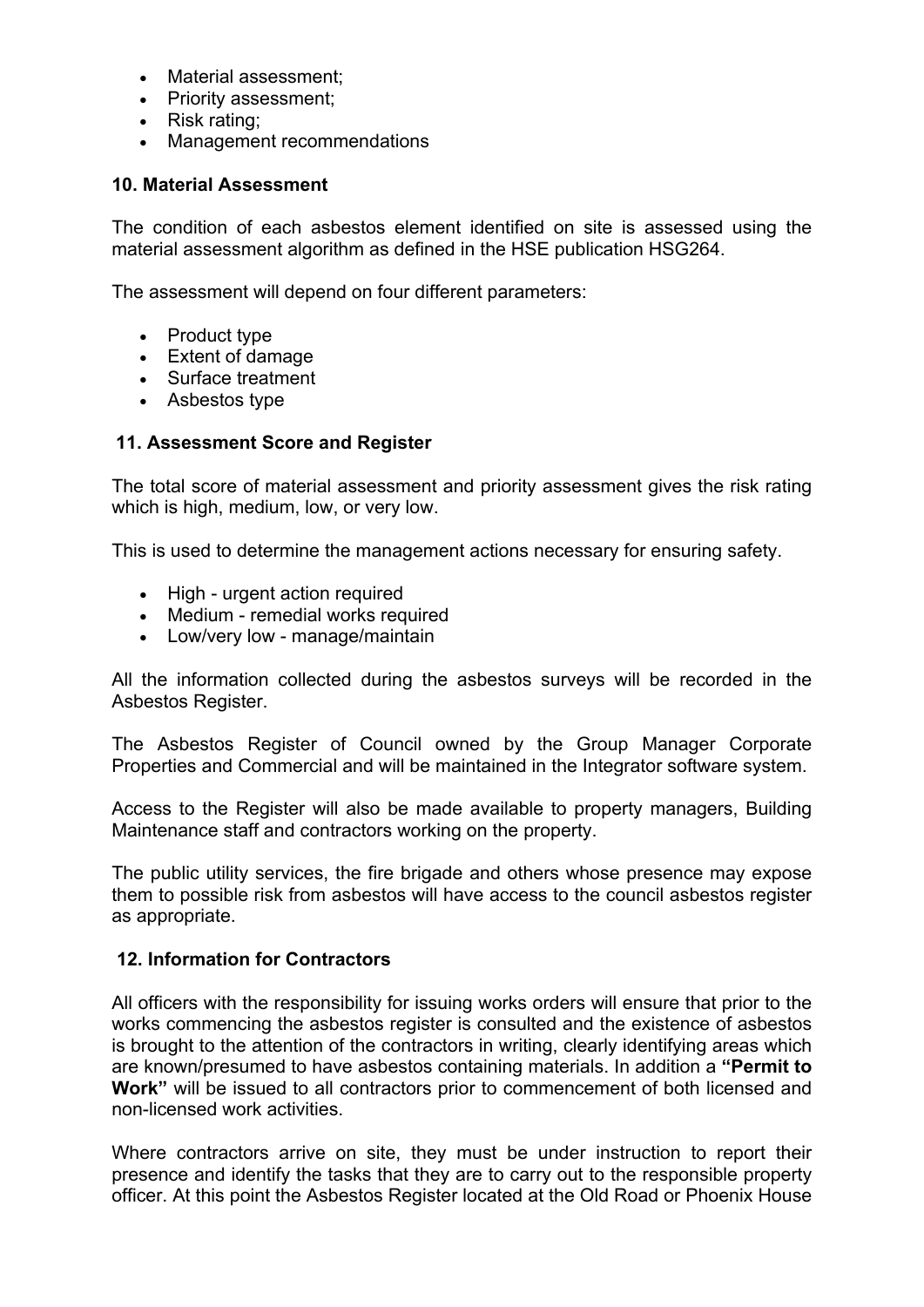- Material assessment:
- Priority assessment;
- Risk rating;
- Management recommendations

# **10. Material Assessment**

The condition of each asbestos element identified on site is assessed using the material assessment algorithm as defined in the HSE publication HSG264.

The assessment will depend on four different parameters:

- Product type
- Extent of damage
- Surface treatment
- Asbestos type

# **11. Assessment Score and Register**

The total score of material assessment and priority assessment gives the risk rating which is high, medium, low, or very low.

This is used to determine the management actions necessary for ensuring safety.

- High urgent action required
- Medium remedial works required
- Low/very low manage/maintain

All the information collected during the asbestos surveys will be recorded in the Asbestos Register.

The Asbestos Register of Council owned by the Group Manager Corporate Properties and Commercial and will be maintained in the Integrator software system.

Access to the Register will also be made available to property managers, Building Maintenance staff and contractors working on the property.

The public utility services, the fire brigade and others whose presence may expose them to possible risk from asbestos will have access to the council asbestos register as appropriate.

# **12. Information for Contractors**

All officers with the responsibility for issuing works orders will ensure that prior to the works commencing the asbestos register is consulted and the existence of asbestos is brought to the attention of the contractors in writing, clearly identifying areas which are known/presumed to have asbestos containing materials. In addition a **"Permit to Work"** will be issued to all contractors prior to commencement of both licensed and non-licensed work activities.

Where contractors arrive on site, they must be under instruction to report their presence and identify the tasks that they are to carry out to the responsible property officer. At this point the Asbestos Register located at the Old Road or Phoenix House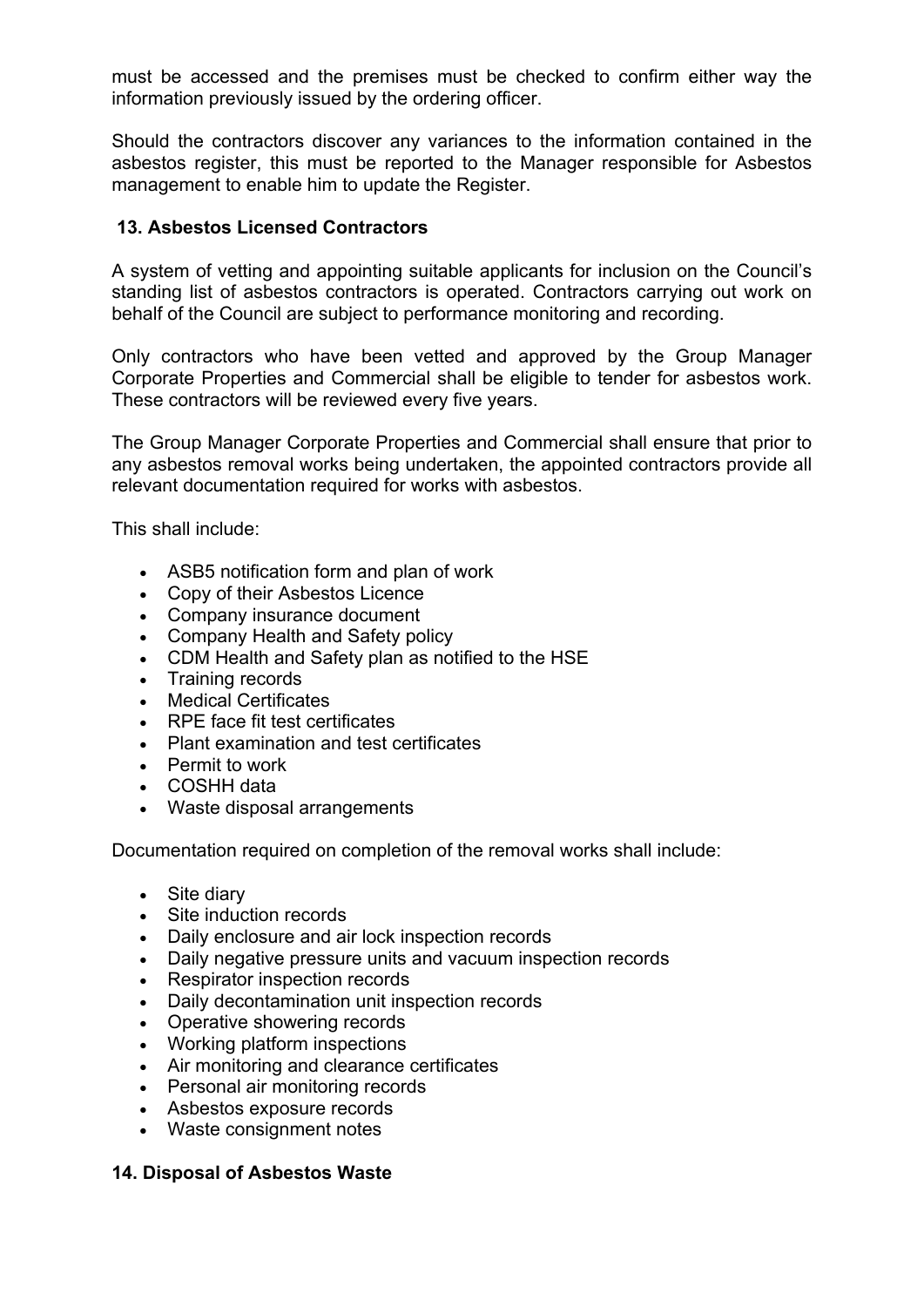must be accessed and the premises must be checked to confirm either way the information previously issued by the ordering officer.

Should the contractors discover any variances to the information contained in the asbestos register, this must be reported to the Manager responsible for Asbestos management to enable him to update the Register.

# **13. Asbestos Licensed Contractors**

A system of vetting and appointing suitable applicants for inclusion on the Council's standing list of asbestos contractors is operated. Contractors carrying out work on behalf of the Council are subject to performance monitoring and recording.

Only contractors who have been vetted and approved by the Group Manager Corporate Properties and Commercial shall be eligible to tender for asbestos work. These contractors will be reviewed every five years.

The Group Manager Corporate Properties and Commercial shall ensure that prior to any asbestos removal works being undertaken, the appointed contractors provide all relevant documentation required for works with asbestos.

This shall include:

- ASB5 notification form and plan of work
- Copy of their Asbestos Licence
- Company insurance document
- Company Health and Safety policy
- CDM Health and Safety plan as notified to the HSE
- Training records
- Medical Certificates
- RPE face fit test certificates
- Plant examination and test certificates
- Permit to work
- COSHH data
- Waste disposal arrangements

Documentation required on completion of the removal works shall include:

- Site diary
- Site induction records
- Daily enclosure and air lock inspection records
- Daily negative pressure units and vacuum inspection records
- Respirator inspection records
- Daily decontamination unit inspection records
- Operative showering records
- Working platform inspections
- Air monitoring and clearance certificates
- Personal air monitoring records
- Asbestos exposure records
- Waste consignment notes

# **14. Disposal of Asbestos Waste**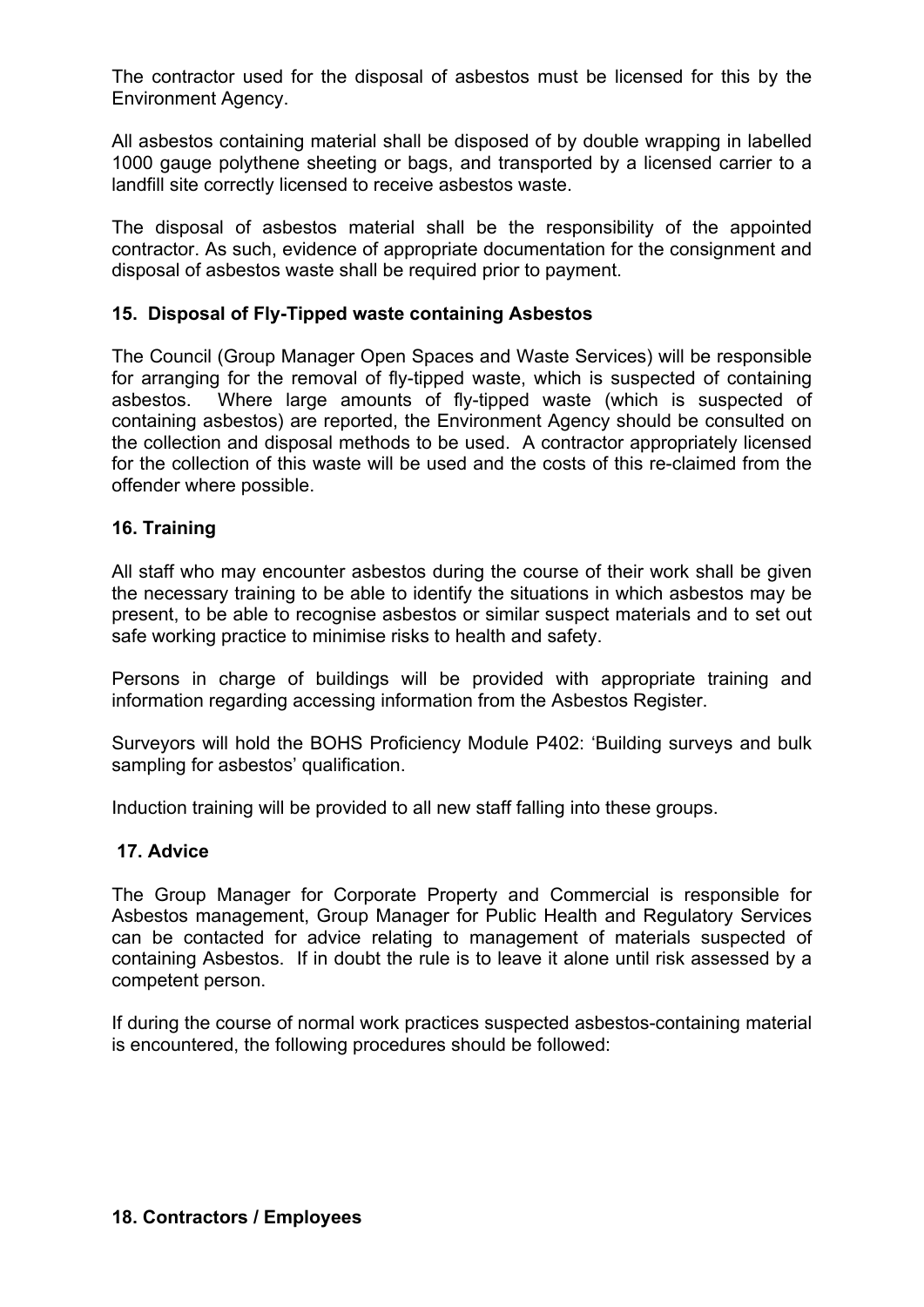The contractor used for the disposal of asbestos must be licensed for this by the Environment Agency.

All asbestos containing material shall be disposed of by double wrapping in labelled 1000 gauge polythene sheeting or bags, and transported by a licensed carrier to a landfill site correctly licensed to receive asbestos waste.

The disposal of asbestos material shall be the responsibility of the appointed contractor. As such, evidence of appropriate documentation for the consignment and disposal of asbestos waste shall be required prior to payment.

# **15. Disposal of Fly-Tipped waste containing Asbestos**

The Council (Group Manager Open Spaces and Waste Services) will be responsible for arranging for the removal of fly-tipped waste, which is suspected of containing asbestos. Where large amounts of fly-tipped waste (which is suspected of containing asbestos) are reported, the Environment Agency should be consulted on the collection and disposal methods to be used. A contractor appropriately licensed for the collection of this waste will be used and the costs of this re-claimed from the offender where possible.

# **16. Training**

All staff who may encounter asbestos during the course of their work shall be given the necessary training to be able to identify the situations in which asbestos may be present, to be able to recognise asbestos or similar suspect materials and to set out safe working practice to minimise risks to health and safety.

Persons in charge of buildings will be provided with appropriate training and information regarding accessing information from the Asbestos Register.

Surveyors will hold the BOHS Proficiency Module P402: 'Building surveys and bulk sampling for asbestos' qualification.

Induction training will be provided to all new staff falling into these groups.

# **17. Advice**

The Group Manager for Corporate Property and Commercial is responsible for Asbestos management, Group Manager for Public Health and Regulatory Services can be contacted for advice relating to management of materials suspected of containing Asbestos. If in doubt the rule is to leave it alone until risk assessed by a competent person.

If during the course of normal work practices suspected asbestos-containing material is encountered, the following procedures should be followed: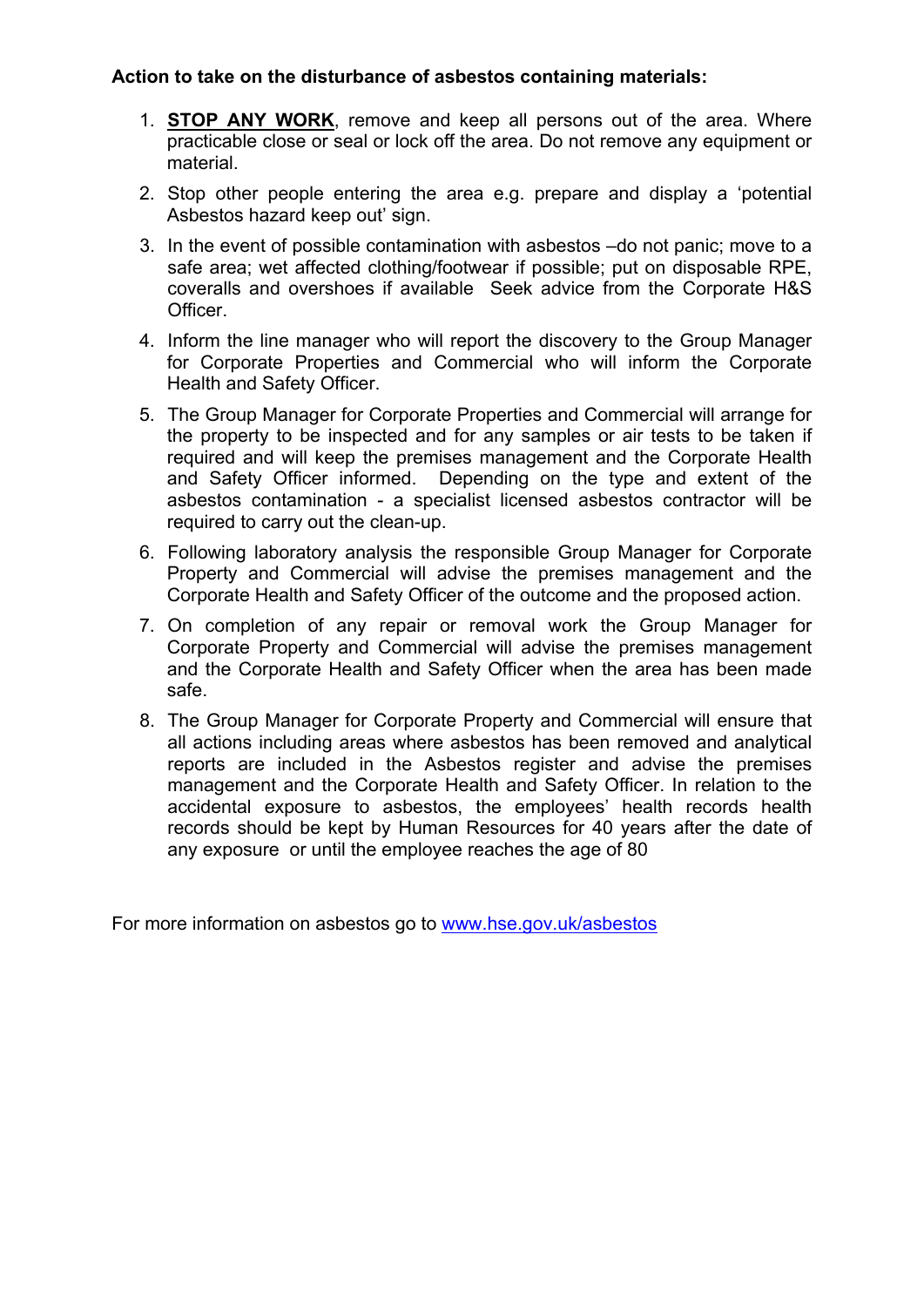# **Action to take on the disturbance of asbestos containing materials:**

- 1. **STOP ANY WORK**, remove and keep all persons out of the area. Where practicable close or seal or lock off the area. Do not remove any equipment or material.
- 2. Stop other people entering the area e.g. prepare and display a 'potential Asbestos hazard keep out' sign.
- 3. In the event of possible contamination with asbestos –do not panic; move to a safe area; wet affected clothing/footwear if possible; put on disposable RPE, coveralls and overshoes if available Seek advice from the Corporate H&S Officer.
- 4. Inform the line manager who will report the discovery to the Group Manager for Corporate Properties and Commercial who will inform the Corporate Health and Safety Officer.
- 5. The Group Manager for Corporate Properties and Commercial will arrange for the property to be inspected and for any samples or air tests to be taken if required and will keep the premises management and the Corporate Health and Safety Officer informed. Depending on the type and extent of the asbestos contamination - a specialist licensed asbestos contractor will be required to carry out the clean-up.
- 6. Following laboratory analysis the responsible Group Manager for Corporate Property and Commercial will advise the premises management and the Corporate Health and Safety Officer of the outcome and the proposed action.
- 7. On completion of any repair or removal work the Group Manager for Corporate Property and Commercial will advise the premises management and the Corporate Health and Safety Officer when the area has been made safe.
- 8. The Group Manager for Corporate Property and Commercial will ensure that all actions including areas where asbestos has been removed and analytical reports are included in the Asbestos register and advise the premises management and the Corporate Health and Safety Officer. In relation to the accidental exposure to asbestos, the employees' health records health records should be kept by Human Resources for 40 years after the date of any exposure or until the employee reaches the age of 80

For more information on asbestos go to [www.hse.gov.uk/asbestos](http://www.hse.gov.uk/asbestos)